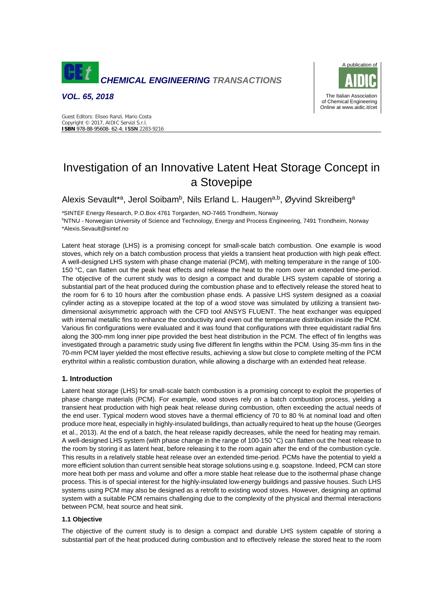

*VOL. 65, 2018* 



Guest Editors: Eliseo Ranzi, Mario Costa Copyright © 2017, AIDIC Servizi S.r.l. **ISBN** 978-88-95608- 62-4; **ISSN** 2283-9216

# Investigation of an Innovative Latent Heat Storage Concept in a Stovepipe

Alexis Sevault\*<sup>a</sup>, Jerol Soibam<sup>b</sup>, Nils Erland L. Haugen<sup>a,b</sup>, Øyvind Skreiberg<sup>a</sup>

<sup>a</sup>SINTEF Energy Research, P.O.Box 4761 Torgarden, NO-7465 Trondheim, Norway <sup>b</sup>NTNU - Norwegian University of Science and Technology, Energy and Process Engineering, 7491 Trondheim, Norway \*Alexis.Sevault@sintef.no

Latent heat storage (LHS) is a promising concept for small-scale batch combustion. One example is wood stoves, which rely on a batch combustion process that yields a transient heat production with high peak effect. A well-designed LHS system with phase change material (PCM), with melting temperature in the range of 100- 150 °C, can flatten out the peak heat effects and release the heat to the room over an extended time-period. The objective of the current study was to design a compact and durable LHS system capable of storing a substantial part of the heat produced during the combustion phase and to effectively release the stored heat to the room for 6 to 10 hours after the combustion phase ends. A passive LHS system designed as a coaxial cylinder acting as a stovepipe located at the top of a wood stove was simulated by utilizing a transient twodimensional axisymmetric approach with the CFD tool ANSYS FLUENT. The heat exchanger was equipped with internal metallic fins to enhance the conductivity and even out the temperature distribution inside the PCM. Various fin configurations were evaluated and it was found that configurations with three equidistant radial fins along the 300-mm long inner pipe provided the best heat distribution in the PCM. The effect of fin lengths was investigated through a parametric study using five different fin lengths within the PCM. Using 35-mm fins in the 70-mm PCM layer yielded the most effective results, achieving a slow but close to complete melting of the PCM erythritol within a realistic combustion duration, while allowing a discharge with an extended heat release.

# **1. Introduction**

Latent heat storage (LHS) for small-scale batch combustion is a promising concept to exploit the properties of phase change materials (PCM). For example, wood stoves rely on a batch combustion process, yielding a transient heat production with high peak heat release during combustion, often exceeding the actual needs of the end user. Typical modern wood stoves have a thermal efficiency of 70 to 80 % at nominal load and often produce more heat, especially in highly-insulated buildings, than actually required to heat up the house (Georges et al., 2013). At the end of a batch, the heat release rapidly decreases, while the need for heating may remain. A well-designed LHS system (with phase change in the range of 100-150 °C) can flatten out the heat release to the room by storing it as latent heat, before releasing it to the room again after the end of the combustion cycle. This results in a relatively stable heat release over an extended time-period. PCMs have the potential to yield a more efficient solution than current sensible heat storage solutions using e.g. soapstone. Indeed, PCM can store more heat both per mass and volume and offer a more stable heat release due to the isothermal phase change process. This is of special interest for the highly-insulated low-energy buildings and passive houses. Such LHS systems using PCM may also be designed as a retrofit to existing wood stoves. However, designing an optimal system with a suitable PCM remains challenging due to the complexity of the physical and thermal interactions between PCM, heat source and heat sink.

## **1.1 Objective**

The objective of the current study is to design a compact and durable LHS system capable of storing a substantial part of the heat produced during combustion and to effectively release the stored heat to the room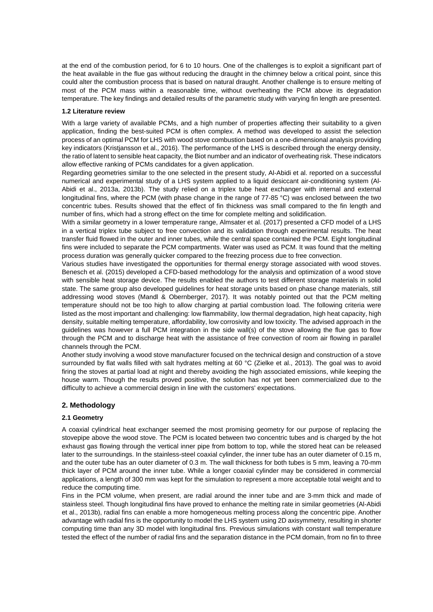at the end of the combustion period, for 6 to 10 hours. One of the challenges is to exploit a significant part of the heat available in the flue gas without reducing the draught in the chimney below a critical point, since this could alter the combustion process that is based on natural draught. Another challenge is to ensure melting of most of the PCM mass within a reasonable time, without overheating the PCM above its degradation temperature. The key findings and detailed results of the parametric study with varying fin length are presented.

## **1.2 Literature review**

With a large variety of available PCMs, and a high number of properties affecting their suitability to a given application, finding the best-suited PCM is often complex. A method was developed to assist the selection process of an optimal PCM for LHS with wood stove combustion based on a one-dimensional analysis providing key indicators (Kristjansson et al., 2016). The performance of the LHS is described through the energy density, the ratio of latent to sensible heat capacity, the Biot number and an indicator of overheating risk. These indicators allow effective ranking of PCMs candidates for a given application.

Regarding geometries similar to the one selected in the present study, Al-Abidi et al. reported on a successful numerical and experimental study of a LHS system applied to a liquid desiccant air-conditioning system (Al-Abidi et al., 2013a, 2013b). The study relied on a triplex tube heat exchanger with internal and external longitudinal fins, where the PCM (with phase change in the range of 77-85 °C) was enclosed between the two concentric tubes. Results showed that the effect of fin thickness was small compared to the fin length and number of fins, which had a strong effect on the time for complete melting and solidification.

With a similar geometry in a lower temperature range, Almsater et al. (2017) presented a CFD model of a LHS in a vertical triplex tube subject to free convection and its validation through experimental results. The heat transfer fluid flowed in the outer and inner tubes, while the central space contained the PCM. Eight longitudinal fins were included to separate the PCM compartments. Water was used as PCM. It was found that the melting process duration was generally quicker compared to the freezing process due to free convection.

Various studies have investigated the opportunities for thermal energy storage associated with wood stoves. Benesch et al. (2015) developed a CFD-based methodology for the analysis and optimization of a wood stove with sensible heat storage device. The results enabled the authors to test different storage materials in solid state. The same group also developed guidelines for heat storage units based on phase change materials, still addressing wood stoves (Mandl & Obernberger, 2017). It was notably pointed out that the PCM melting temperature should not be too high to allow charging at partial combustion load. The following criteria were listed as the most important and challenging: low flammability, low thermal degradation, high heat capacity, high density, suitable melting temperature, affordability, low corrosivity and low toxicity. The advised approach in the guidelines was however a full PCM integration in the side wall(s) of the stove allowing the flue gas to flow through the PCM and to discharge heat with the assistance of free convection of room air flowing in parallel channels through the PCM.

Another study involving a wood stove manufacturer focused on the technical design and construction of a stove surrounded by flat walls filled with salt hydrates melting at 60 °C (Zielke et al., 2013). The goal was to avoid firing the stoves at partial load at night and thereby avoiding the high associated emissions, while keeping the house warm. Though the results proved positive, the solution has not yet been commercialized due to the difficulty to achieve a commercial design in line with the customers' expectations.

# **2. Methodology**

## **2.1 Geometry**

A coaxial cylindrical heat exchanger seemed the most promising geometry for our purpose of replacing the stovepipe above the wood stove. The PCM is located between two concentric tubes and is charged by the hot exhaust gas flowing through the vertical inner pipe from bottom to top, while the stored heat can be released later to the surroundings. In the stainless-steel coaxial cylinder, the inner tube has an outer diameter of 0.15 m, and the outer tube has an outer diameter of 0.3 m. The wall thickness for both tubes is 5 mm, leaving a 70-mm thick layer of PCM around the inner tube. While a longer coaxial cylinder may be considered in commercial applications, a length of 300 mm was kept for the simulation to represent a more acceptable total weight and to reduce the computing time.

Fins in the PCM volume, when present, are radial around the inner tube and are 3-mm thick and made of stainless steel. Though longitudinal fins have proved to enhance the melting rate in similar geometries (Al-Abidi et al., 2013b), radial fins can enable a more homogeneous melting process along the concentric pipe. Another advantage with radial fins is the opportunity to model the LHS system using 2D axisymmetry, resulting in shorter computing time than any 3D model with longitudinal fins. Previous simulations with constant wall temperature tested the effect of the number of radial fins and the separation distance in the PCM domain, from no fin to three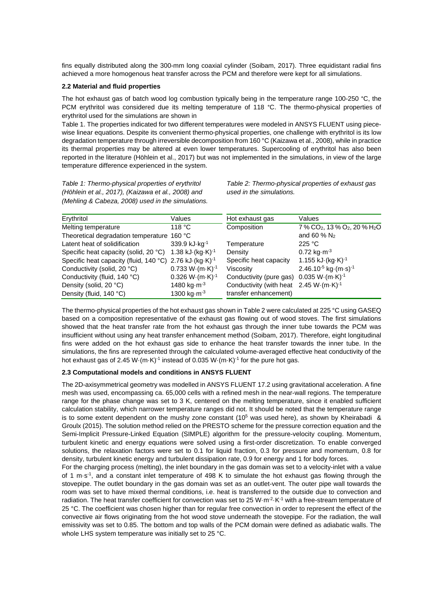fins equally distributed along the 300-mm long coaxial cylinder (Soibam, 2017). Three equidistant radial fins achieved a more homogenous heat transfer across the PCM and therefore were kept for all simulations.

## **2.2 Material and fluid properties**

The hot exhaust gas of batch wood log combustion typically being in the temperature range 100-250 °C, the PCM erythritol was considered due its melting temperature of 118 °C. The thermo-physical properties of erythritol used for the simulations are shown in

Table 1. The properties indicated for two different temperatures were modeled in ANSYS FLUENT using piecewise linear equations. Despite its convenient thermo-physical properties, one challenge with erythritol is its low degradation temperature through irreversible decomposition from 160 °C (Kaizawa et al., 2008), while in practice its thermal properties may be altered at even lower temperatures. Supercooling of erythritol has also been reported in the literature (Höhlein et al., 2017) but was not implemented in the simulations, in view of the large temperature difference experienced in the system.

*Table 1: Thermo-physical properties of erythritol (Höhlein et al., 2017), (Kaizawa et al., 2008) and (Mehling & Cabeza, 2008) used in the simulations.* 

*Table 2: Thermo-physical properties of exhaust gas used in the simulations.* 

| Erythritol                                                          | Values                          | Hot exhaust gas                                     | Values                                                            |
|---------------------------------------------------------------------|---------------------------------|-----------------------------------------------------|-------------------------------------------------------------------|
| Melting temperature                                                 | 118 °C                          | Composition                                         | 7 % CO <sub>2</sub> , 13 % O <sub>2</sub> , 20 % H <sub>2</sub> O |
| Theoretical degradation temperature 160 °C                          |                                 |                                                     | and 60 % $N_2$                                                    |
| Latent heat of solidification                                       | 339.9 kJ·kg <sup>-1</sup>       | Temperature                                         | 225 °C                                                            |
| Specific heat capacity (solid, 20 °C) 1.38 kJ·(kg·K) <sup>-1</sup>  |                                 | Density                                             | $0.72 \text{ kg} \cdot \text{m}^{-3}$                             |
| Specific heat capacity (fluid, 140 °C) 2.76 kJ·(kg·K) <sup>-1</sup> |                                 | Specific heat capacity                              | $1.155$ kJ $\cdot$ (kg $\cdot$ K) $^{-1}$                         |
| Conductivity (solid, 20 °C)                                         | $0.733 W·(m·K)-1$               | Viscosity                                           | $2.46.10^{-5}$ kg $\cdot$ (m $\cdot$ s) <sup>-1</sup>             |
| Conductivity (fluid, 140 °C)                                        | $0.326 W·(m·K)-1$               | Conductivity (pure gas) 0.035 W·(m·K) <sup>-1</sup> |                                                                   |
| Density (solid, 20 °C)                                              | 1480 kg $\cdot$ m <sup>-3</sup> | Conductivity (with heat $2.45 W(m·K)-1$             |                                                                   |
| Density (fluid, 140 °C)                                             | 1300 kg $\cdot$ m <sup>-3</sup> | transfer enhancement)                               |                                                                   |

The thermo-physical properties of the hot exhaust gas shown in Table 2 were calculated at 225 °C using GASEQ based on a composition representative of the exhaust gas flowing out of wood stoves. The first simulations showed that the heat transfer rate from the hot exhaust gas through the inner tube towards the PCM was insufficient without using any heat transfer enhancement method (Soibam, 2017). Therefore, eight longitudinal fins were added on the hot exhaust gas side to enhance the heat transfer towards the inner tube. In the simulations, the fins are represented through the calculated volume-averaged effective heat conductivity of the hot exhaust gas of 2.45 W $\cdot$ (m $\cdot$ K)<sup>-1</sup> instead of 0.035 W $\cdot$ (m $\cdot$ K)<sup>-1</sup> for the pure hot gas.

## **2.3 Computational models and conditions in ANSYS FLUENT**

The 2D-axisymmetrical geometry was modelled in ANSYS FLUENT 17.2 using gravitational acceleration. A fine mesh was used, encompassing ca. 65,000 cells with a refined mesh in the near-wall regions. The temperature range for the phase change was set to 3 K, centered on the melting temperature, since it enabled sufficient calculation stability, which narrower temperature ranges did not. It should be noted that the temperature range is to some extent dependent on the mushy zone constant  $(10^5$  was used here), as shown by Kheirabadi & Groulx (2015). The solution method relied on the PRESTO scheme for the pressure correction equation and the Semi-Implicit Pressure-Linked Equation (SIMPLE) algorithm for the pressure-velocity coupling. Momentum, turbulent kinetic and energy equations were solved using a first-order discretization. To enable converged solutions, the relaxation factors were set to 0.1 for liquid fraction, 0.3 for pressure and momentum, 0.8 for density, turbulent kinetic energy and turbulent dissipation rate, 0.9 for energy and 1 for body forces.

For the charging process (melting), the inlet boundary in the gas domain was set to a velocity-inlet with a value of 1 m·s<sup>-1</sup>, and a constant inlet temperature of 498 K to simulate the hot exhaust gas flowing through the stovepipe. The outlet boundary in the gas domain was set as an outlet-vent. The outer pipe wall towards the room was set to have mixed thermal conditions, i.e. heat is transferred to the outside due to convection and radiation. The heat transfer coefficient for convection was set to 25 W·m<sup>-2</sup>·K<sup>-1</sup> with a free-stream temperature of 25 °C. The coefficient was chosen higher than for regular free convection in order to represent the effect of the convective air flows originating from the hot wood stove underneath the stovepipe. For the radiation, the wall emissivity was set to 0.85. The bottom and top walls of the PCM domain were defined as adiabatic walls. The whole LHS system temperature was initially set to 25 °C.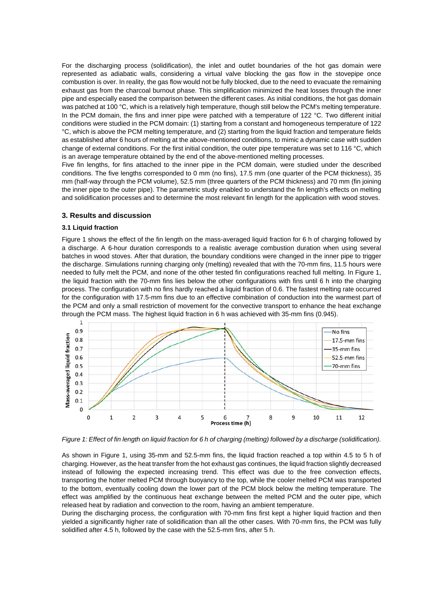For the discharging process (solidification), the inlet and outlet boundaries of the hot gas domain were represented as adiabatic walls, considering a virtual valve blocking the gas flow in the stovepipe once combustion is over. In reality, the gas flow would not be fully blocked, due to the need to evacuate the remaining exhaust gas from the charcoal burnout phase. This simplification minimized the heat losses through the inner pipe and especially eased the comparison between the different cases. As initial conditions, the hot gas domain was patched at 100 °C, which is a relatively high temperature, though still below the PCM's melting temperature. In the PCM domain, the fins and inner pipe were patched with a temperature of 122 °C. Two different initial conditions were studied in the PCM domain: (1) starting from a constant and homogeneous temperature of 122 °C, which is above the PCM melting temperature, and (2) starting from the liquid fraction and temperature fields as established after 6 hours of melting at the above-mentioned conditions, to mimic a dynamic case with sudden change of external conditions. For the first initial condition, the outer pipe temperature was set to 116 °C, which is an average temperature obtained by the end of the above-mentioned melting processes.

Five fin lengths, for fins attached to the inner pipe in the PCM domain, were studied under the described conditions. The five lengths corresponded to 0 mm (no fins), 17.5 mm (one quarter of the PCM thickness), 35 mm (half-way through the PCM volume), 52.5 mm (three quarters of the PCM thickness) and 70 mm (fin joining the inner pipe to the outer pipe). The parametric study enabled to understand the fin length's effects on melting and solidification processes and to determine the most relevant fin length for the application with wood stoves.

## **3. Results and discussion**

#### **3.1 Liquid fraction**

Figure 1 shows the effect of the fin length on the mass-averaged liquid fraction for 6 h of charging followed by a discharge. A 6-hour duration corresponds to a realistic average combustion duration when using several batches in wood stoves. After that duration, the boundary conditions were changed in the inner pipe to trigger the discharge. Simulations running charging only (melting) revealed that with the 70-mm fins, 11.5 hours were needed to fully melt the PCM, and none of the other tested fin configurations reached full melting. In Figure 1, the liquid fraction with the 70-mm fins lies below the other configurations with fins until 6 h into the charging process. The configuration with no fins hardly reached a liquid fraction of 0.6. The fastest melting rate occurred for the configuration with 17.5-mm fins due to an effective combination of conduction into the warmest part of the PCM and only a small restriction of movement for the convective transport to enhance the heat exchange through the PCM mass. The highest liquid fraction in 6 h was achieved with 35-mm fins (0.945).



*Figure 1: Effect of fin length on liquid fraction for 6 h of charging (melting) followed by a discharge (solidification).* 

As shown in Figure 1, using 35-mm and 52.5-mm fins, the liquid fraction reached a top within 4.5 to 5 h of charging. However, as the heat transfer from the hot exhaust gas continues, the liquid fraction slightly decreased instead of following the expected increasing trend. This effect was due to the free convection effects, transporting the hotter melted PCM through buoyancy to the top, while the cooler melted PCM was transported to the bottom, eventually cooling down the lower part of the PCM block below the melting temperature. The effect was amplified by the continuous heat exchange between the melted PCM and the outer pipe, which released heat by radiation and convection to the room, having an ambient temperature.

During the discharging process, the configuration with 70-mm fins first kept a higher liquid fraction and then yielded a significantly higher rate of solidification than all the other cases. With 70-mm fins, the PCM was fully solidified after 4.5 h, followed by the case with the 52.5-mm fins, after 5 h.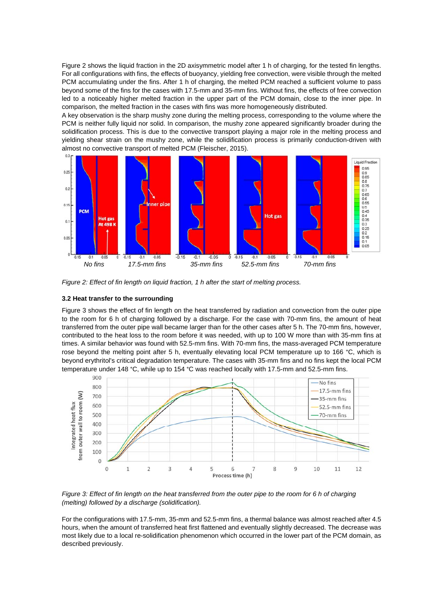Figure 2 shows the liquid fraction in the 2D axisymmetric model after 1 h of charging, for the tested fin lengths. For all configurations with fins, the effects of buoyancy, yielding free convection, were visible through the melted PCM accumulating under the fins. After 1 h of charging, the melted PCM reached a sufficient volume to pass beyond some of the fins for the cases with 17.5-mm and 35-mm fins. Without fins, the effects of free convection led to a noticeably higher melted fraction in the upper part of the PCM domain, close to the inner pipe. In comparison, the melted fraction in the cases with fins was more homogeneously distributed.

A key observation is the sharp mushy zone during the melting process, corresponding to the volume where the PCM is neither fully liquid nor solid. In comparison, the mushy zone appeared significantly broader during the solidification process. This is due to the convective transport playing a major role in the melting process and yielding shear strain on the mushy zone, while the solidification process is primarily conduction-driven with almost no convective transport of melted PCM (Fleischer, 2015).



*Figure 2: Effect of fin length on liquid fraction, 1 h after the start of melting process.* 

## **3.2 Heat transfer to the surrounding**

Figure 3 shows the effect of fin length on the heat transferred by radiation and convection from the outer pipe to the room for 6 h of charging followed by a discharge. For the case with 70-mm fins, the amount of heat transferred from the outer pipe wall became larger than for the other cases after 5 h. The 70-mm fins, however, contributed to the heat loss to the room before it was needed, with up to 100 W more than with 35-mm fins at times. A similar behavior was found with 52.5-mm fins. With 70-mm fins, the mass-averaged PCM temperature rose beyond the melting point after 5 h, eventually elevating local PCM temperature up to 166 °C, which is beyond erythritol's critical degradation temperature. The cases with 35-mm fins and no fins kept the local PCM temperature under 148 °C, while up to 154 °C was reached locally with 17.5-mm and 52.5-mm fins.



*Figure 3: Effect of fin length on the heat transferred from the outer pipe to the room for 6 h of charging (melting) followed by a discharge (solidification).* 

For the configurations with 17.5-mm, 35-mm and 52.5-mm fins, a thermal balance was almost reached after 4.5 hours, when the amount of transferred heat first flattened and eventually slightly decreased. The decrease was most likely due to a local re-solidification phenomenon which occurred in the lower part of the PCM domain, as described previously.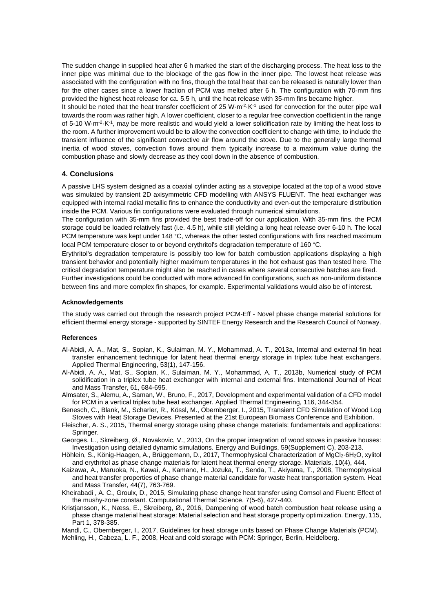The sudden change in supplied heat after 6 h marked the start of the discharging process. The heat loss to the inner pipe was minimal due to the blockage of the gas flow in the inner pipe. The lowest heat release was associated with the configuration with no fins, though the total heat that can be released is naturally lower than for the other cases since a lower fraction of PCM was melted after 6 h. The configuration with 70-mm fins provided the highest heat release for ca. 5.5 h, until the heat release with 35-mm fins became higher.

It should be noted that the heat transfer coefficient of 25 W·m<sup>-2</sup>·K<sup>-1</sup> used for convection for the outer pipe wall towards the room was rather high. A lower coefficient, closer to a regular free convection coefficient in the range of 5-10 W·m<sup>-2</sup>·K<sup>-1</sup>, may be more realistic and would yield a lower solidification rate by limiting the heat loss to the room. A further improvement would be to allow the convection coefficient to change with time, to include the transient influence of the significant convective air flow around the stove. Due to the generally large thermal inertia of wood stoves, convection flows around them typically increase to a maximum value during the combustion phase and slowly decrease as they cool down in the absence of combustion.

## **4. Conclusions**

A passive LHS system designed as a coaxial cylinder acting as a stovepipe located at the top of a wood stove was simulated by transient 2D axisymmetric CFD modelling with ANSYS FLUENT. The heat exchanger was equipped with internal radial metallic fins to enhance the conductivity and even-out the temperature distribution inside the PCM. Various fin configurations were evaluated through numerical simulations.

The configuration with 35-mm fins provided the best trade-off for our application. With 35-mm fins, the PCM storage could be loaded relatively fast (i.e. 4.5 h), while still yielding a long heat release over 6-10 h. The local PCM temperature was kept under 148 °C, whereas the other tested configurations with fins reached maximum local PCM temperature closer to or beyond erythritol's degradation temperature of 160 °C.

Erythritol's degradation temperature is possibly too low for batch combustion applications displaying a high transient behavior and potentially higher maximum temperatures in the hot exhaust gas than tested here. The critical degradation temperature might also be reached in cases where several consecutive batches are fired. Further investigations could be conducted with more advanced fin configurations, such as non-uniform distance between fins and more complex fin shapes, for example. Experimental validations would also be of interest.

#### **Acknowledgements**

The study was carried out through the research project PCM-Eff - Novel phase change material solutions for efficient thermal energy storage - supported by SINTEF Energy Research and the Research Council of Norway.

#### **References**

- Al-Abidi, A. A., Mat, S., Sopian, K., Sulaiman, M. Y., Mohammad, A. T., 2013a, Internal and external fin heat transfer enhancement technique for latent heat thermal energy storage in triplex tube heat exchangers. Applied Thermal Engineering, 53(1), 147-156.
- Al-Abidi, A. A., Mat, S., Sopian, K., Sulaiman, M. Y., Mohammad, A. T., 2013b, Numerical study of PCM solidification in a triplex tube heat exchanger with internal and external fins. International Journal of Heat and Mass Transfer, 61, 684-695.
- Almsater, S., Alemu, A., Saman, W., Bruno, F., 2017, Development and experimental validation of a CFD model for PCM in a vertical triplex tube heat exchanger. Applied Thermal Engineering, 116, 344-354.
- Benesch, C., Blank, M., Scharler, R., Kössl, M., Obernberger, I., 2015, Transient CFD Simulation of Wood Log Stoves with Heat Storage Devices. Presented at the 21st European Biomass Conference and Exhibition.
- Fleischer, A. S., 2015, Thermal energy storage using phase change materials: fundamentals and applications: Springer.
- Georges, L., Skreiberg, Ø., Novakovic, V., 2013, On the proper integration of wood stoves in passive houses: Investigation using detailed dynamic simulations. Energy and Buildings, 59(Supplement C), 203-213.
- Höhlein, S., König-Haagen, A., Brüggemann, D., 2017, Thermophysical Characterization of MgCl<sub>2</sub>·6H<sub>2</sub>O, xylitol and erythritol as phase change materials for latent heat thermal energy storage. Materials, 10(4), 444.
- Kaizawa, A., Maruoka, N., Kawai, A., Kamano, H., Jozuka, T., Senda, T., Akiyama, T., 2008, Thermophysical and heat transfer properties of phase change material candidate for waste heat transportation system. Heat and Mass Transfer, 44(7), 763-769.
- Kheirabadi , A. C., Groulx, D., 2015, Simulating phase change heat transfer using Comsol and Fluent: Effect of the mushy-zone constant. Computational Thermal Science, 7(5-6), 427-440.
- Kristjansson, K., Næss, E., Skreiberg, Ø., 2016, Dampening of wood batch combustion heat release using a phase change material heat storage: Material selection and heat storage property optimization. Energy, 115, Part 1, 378-385.

Mandl, C., Obernberger, I., 2017, Guidelines for heat storage units based on Phase Change Materials (PCM).

Mehling, H., Cabeza, L. F., 2008, Heat and cold storage with PCM: Springer, Berlin, Heidelberg.